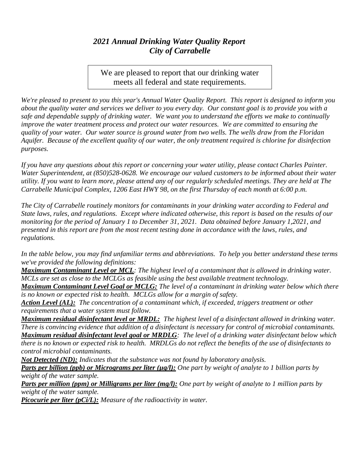## *2021 Annual Drinking Water Quality Report City of Carrabelle*

We are pleased to report that our drinking water meets all federal and state requirements.

*We're pleased to present to you this year's Annual Water Quality Report. This report is designed to inform you about the quality water and services we deliver to you every day. Our constant goal is to provide you with a safe and dependable supply of drinking water. We want you to understand the efforts we make to continually improve the water treatment process and protect our water resources. We are committed to ensuring the quality of your water. Our water source is ground water from two wells. The wells draw from the Floridan Aquifer. Because of the excellent quality of our water, the only treatment required is chlorine for disinfection purposes.*

*If you have any questions about this report or concerning your water utility, please contact Charles Painter. Water Superintendent, at (850)528-0628. We encourage our valued customers to be informed about their water utility. If you want to learn more, please attend any of our regularly scheduled meetings. They are held at The Carrabelle Municipal Complex, 1206 East HWY 98, on the first Thursday of each month at 6:00 p.m.*

*The City of Carrabelle routinely monitors for contaminants in your drinking water according to Federal and State laws, rules, and regulations. Except where indicated otherwise, this report is based on the results of our monitoring for the period of January 1 to December 31, 2021. Data obtained before January 1,2021, and presented in this report are from the most recent testing done in accordance with the laws, rules, and regulations.* 

*In the table below, you may find unfamiliar terms and abbreviations. To help you better understand these terms we've provided the following definitions:*

*Maximum Contaminant Level or MCL: The highest level of a contaminant that is allowed in drinking water. MCLs are set as close to the MCLGs as feasible using the best available treatment technology.*

*Maximum Contaminant Level Goal or MCLG: The level of a contaminant in drinking water below which there is no known or expected risk to health. MCLGs allow for a margin of safety.*

*Action Level (AL): The concentration of a contaminant which, if exceeded, triggers treatment or other requirements that a water system must follow.*

*Maximum residual disinfectant level or MRDL: The highest level of a disinfectant allowed in drinking water. There is convincing evidence that addition of a disinfectant is necessary for control of microbial contaminants. Maximum residual disinfectant level goal or MRDLG: The level of a drinking water disinfectant below which there is no known or expected risk to health. MRDLGs do not reflect the benefits of the use of disinfectants to control microbial contaminants.*

*Not Detected (ND): Indicates that the substance was not found by laboratory analysis.*

*Parts per billion (ppb) or Micrograms per liter (µg/l): One part by weight of analyte to 1 billion parts by weight of the water sample.*

*Parts per million (ppm) or Milligrams per liter (mg/l): One part by weight of analyte to 1 million parts by weight of the water sample.*

*Picocurie per liter (pCi/L): Measure of the radioactivity in water.*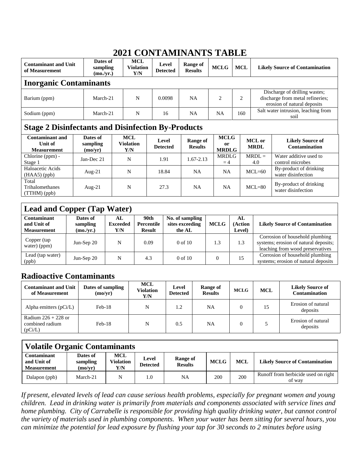## **2021 CONTAMINANTS TABLE**

| Dates of<br><b>Contaminant and Unit</b><br>sampling<br>of Measurement<br>(mo./yr.) |                                 |          | <b>MCL</b><br><b>Violation</b><br>Y/N | Level<br><b>Detected</b> | Range of<br><b>Results</b> | <b>MCLG</b>                                  | <b>MCL</b> |                       | <b>Likely Source of Contamination</b>                                                            |  |
|------------------------------------------------------------------------------------|---------------------------------|----------|---------------------------------------|--------------------------|----------------------------|----------------------------------------------|------------|-----------------------|--------------------------------------------------------------------------------------------------|--|
| <b>Inorganic Contaminants</b>                                                      |                                 |          |                                       |                          |                            |                                              |            |                       |                                                                                                  |  |
| Barium (ppm)                                                                       |                                 | March-21 |                                       | 0.0098                   | <b>NA</b>                  | $\mathfrak{D}$                               | 2          |                       | Discharge of drilling wastes;<br>discharge from metal refineries;<br>erosion of natural deposits |  |
| Sodium (ppm)                                                                       | March-21                        |          | N                                     | 16                       | <b>NA</b>                  | <b>NA</b>                                    | 160        |                       | Salt water intrusion, leaching from<br>soil                                                      |  |
| <b>Stage 2 Disinfectants and Disinfection By-Products</b>                          |                                 |          |                                       |                          |                            |                                              |            |                       |                                                                                                  |  |
| <b>Contaminant and</b><br>Unit of<br><b>Measurement</b>                            | Dates of<br>sampling<br>(mo/yr) |          | <b>MCL</b><br><b>Violation</b><br>Y/N | Level<br><b>Detected</b> | Range of<br><b>Results</b> | <b>MCLG</b><br><sub>or</sub><br><b>MRDLG</b> |            | MCL or<br><b>MRDL</b> | <b>Likely Source of</b><br><b>Contamination</b>                                                  |  |
| Chlorine (ppm) -<br>Stage 1                                                        | Jan-Dec 21                      |          | N                                     | 1.91                     | $1.67 - 2.13$              | <b>MRDLG</b><br>$=4$                         |            | $MRDL =$<br>4.0       | Water additive used to<br>control microbes                                                       |  |
| Haloacetic Acids<br>$(HAA5)$ (ppb)                                                 | Aug- $21$                       |          | N                                     | 18.84                    | <b>NA</b>                  | <b>NA</b>                                    |            | $MCL=60$              | By-product of drinking<br>water disinfection                                                     |  |
| Total<br>Trihalomethanes<br>(TTHM)(ppb)                                            | Aug- $21$                       |          | N                                     | 27.3                     | <b>NA</b>                  | <b>NA</b>                                    |            | $MCL=80$              | By-product of drinking<br>water disinfection                                                     |  |

| <b>Lead and Copper (Tap Water)</b>               |                                   |                               |                                     |                                              |             |                        |                                                                                                              |  |  |
|--------------------------------------------------|-----------------------------------|-------------------------------|-------------------------------------|----------------------------------------------|-------------|------------------------|--------------------------------------------------------------------------------------------------------------|--|--|
| Contaminant<br>and Unit of<br><b>Measurement</b> | Dates of<br>sampling<br>(mo./yr.) | AL.<br><b>Exceeded</b><br>Y/N | 90th<br>Percentile<br><b>Result</b> | No. of sampling<br>sites exceeding<br>the AL | <b>MCLG</b> | AL<br>Action<br>Level) | <b>Likely Source of Contamination</b>                                                                        |  |  |
| Copper (tap<br>water) (ppm)                      | Jun-Sep $20$                      | N                             | 0.09                                | $0$ of $10$                                  | 1.3         | 1.3                    | Corrosion of household plumbing<br>systems; erosion of natural deposits;<br>leaching from wood preservatives |  |  |
| Lead (tap water)<br>(ppb)                        | Jun-Sep $20$                      | N                             | 4.3                                 | $0$ of $10$                                  | 0           | 15                     | Corrosion of household plumbing<br>systems; erosion of natural deposits                                      |  |  |

## **Radioactive Contaminants**

| <b>Contaminant and Unit</b><br>of Measurement       | Dates of sampling<br>(mo/yr) | <b>MCL</b><br>Violation<br>Y/N | Level<br><b>Detected</b> | Range of<br><b>Results</b> | <b>MCLG</b> | <b>MCL</b> | <b>Likely Source of</b><br><b>Contamination</b> |
|-----------------------------------------------------|------------------------------|--------------------------------|--------------------------|----------------------------|-------------|------------|-------------------------------------------------|
| Alpha emitters $(pCi/L)$                            | $Feb-18$                     | N                              | 1.2                      | NA                         | $\Omega$    | 15         | Erosion of natural<br>deposits                  |
| Radium $226 + 228$ or<br>combined radium<br>(pCi/L) | $Feb-18$                     | N                              | 0.5                      | NA                         | $\theta$    |            | Erosion of natural<br>deposits                  |

| <b>Volatile Organic Contaminants</b>                    |                                 |                                       |     |                            |             |            |                                               |  |  |
|---------------------------------------------------------|---------------------------------|---------------------------------------|-----|----------------------------|-------------|------------|-----------------------------------------------|--|--|
| <b>Contaminant</b><br>and Unit of<br><b>Measurement</b> | Dates of<br>sampling<br>(mo/yr) | <b>MCL</b><br><b>Violation</b><br>Y/N |     | Range of<br><b>Results</b> | <b>MCLG</b> | <b>MCL</b> | <b>Likely Source of Contamination</b>         |  |  |
| Dalapon (ppb)                                           | March-21                        | N                                     | 1.0 | NA                         | 200         | 200        | Runoff from herbicide used on right<br>of way |  |  |

*If present, elevated levels of lead can cause serious health problems, especially for pregnant women and young children. Lead in drinking water is primarily from materials and components associated with service lines and home plumbing. City of Carrabelle is responsible for providing high quality drinking water, but cannot control the variety of materials used in plumbing components. When your water has been sitting for several hours, you can minimize the potential for lead exposure by flushing your tap for 30 seconds to 2 minutes before using*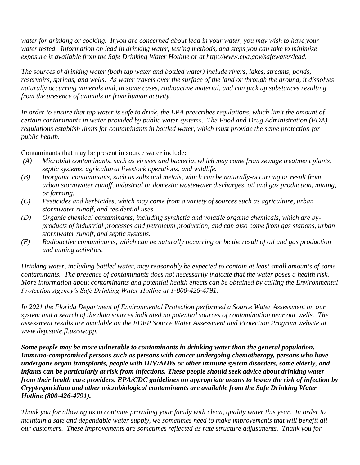*water for drinking or cooking. If you are concerned about lead in your water, you may wish to have your water tested. Information on lead in drinking water, testing methods, and steps you can take to minimize exposure is available from the Safe Drinking Water Hotline or at http://www.epa.gov/safewater/lead.*

*The sources of drinking water (both tap water and bottled water) include rivers, lakes, streams, ponds, reservoirs, springs, and wells. As water travels over the surface of the land or through the ground, it dissolves naturally occurring minerals and, in some cases, radioactive material, and can pick up substances resulting from the presence of animals or from human activity.*

*In order to ensure that tap water is safe to drink, the EPA prescribes regulations, which limit the amount of certain contaminants in water provided by public water systems. The Food and Drug Administration (FDA) regulations establish limits for contaminants in bottled water, which must provide the same protection for public health.*

Contaminants that may be present in source water include:

- *(A) Microbial contaminants, such as viruses and bacteria, which may come from sewage treatment plants, septic systems, agricultural livestock operations, and wildlife.*
- *(B) Inorganic contaminants*, *such as salts and metals, which can be naturally-occurring or result from urban stormwater runoff, industrial or domestic wastewater discharges, oil and gas production, mining, or farming.*
- *(C) Pesticides and herbicides, which may come from a variety of sources such as agriculture, urban stormwater runoff, and residential uses.*
- *(D) Organic chemical contaminants*, *including synthetic and volatile organic chemicals, which are byproducts of industrial processes and petroleum production, and can also come from gas stations, urban stormwater runoff, and septic systems.*
- *(E) Radioactive contaminants*, *which can be naturally occurring or be the result of oil and gas production and mining activities.*

*Drinking water, including bottled water, may reasonably be expected to contain at least small amounts of some contaminants. The presence of contaminants does not necessarily indicate that the water poses a health risk. More information about contaminants and potential health effects can be obtained by calling the Environmental Protection Agency's Safe Drinking Water Hotline at 1-800-426-4791.*

*In 2021 the Florida Department of Environmental Protection performed a Source Water Assessment on our system and a search of the data sources indicated no potential sources of contamination near our wells. The assessment results are available on the FDEP Source Water Assessment and Protection Program website at www.dep.state.fl.us/swapp.*

*Some people may be more vulnerable to contaminants in drinking water than the general population. Immuno-compromised persons such as persons with cancer undergoing chemotherapy, persons who have undergone organ transplants, people with HIV/AIDS or other immune system disorders, some elderly, and infants can be particularly at risk from infections. These people should seek advice about drinking water from their health care providers. EPA/CDC guidelines on appropriate means to lessen the risk of infection by Cryptosporidium and other microbiological contaminants are available from the Safe Drinking Water Hotline (800-426-4791).*

*Thank you for allowing us to continue providing your family with clean, quality water this year. In order to maintain a safe and dependable water supply, we sometimes need to make improvements that will benefit all our customers. These improvements are sometimes reflected as rate structure adjustments. Thank you for*